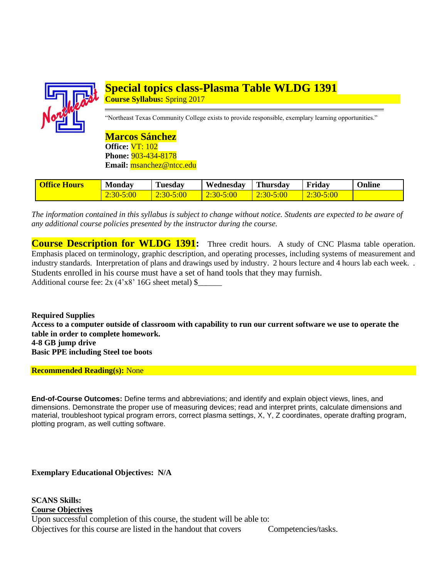

# **Special topics class-Plasma Table WLDG 1391 Course Syllabus:** Spring 2017

"Northeast Texas Community College exists to provide responsible, exemplary learning opportunities."

**Marcos Sánchez Office:** VT: 102 **Phone:** 903-434-8178 **Email:** msanchez@ntcc.edu

| <b>Office Hours</b> | <b>Monday</b>          | <b>Tuesday</b>  | Wednesday     | Thursdav      | Friday    | <b>Online</b> |
|---------------------|------------------------|-----------------|---------------|---------------|-----------|---------------|
|                     | $5:00^{-}$<br>$2:30-7$ | 5:00<br>$2:30-$ | $2:30 - 5:00$ | $2:30 - 5:00$ | 2:30-5:00 |               |

*The information contained in this syllabus is subject to change without notice. Students are expected to be aware of any additional course policies presented by the instructor during the course.*

**Course Description for WLDG 1391:** Three credit hours. A study of CNC Plasma table operation. Emphasis placed on terminology, graphic description, and operating processes, including systems of measurement and industry standards. Interpretation of plans and drawings used by industry. 2 hours lecture and 4 hours lab each week. . Students enrolled in his course must have a set of hand tools that they may furnish. Additional course fee:  $2x$  (4'x8' 16G sheet metal)  $\ell$ 

**Required Supplies Access to a computer outside of classroom with capability to run our current software we use to operate the table in order to complete homework. 4-8 GB jump drive Basic PPE including Steel toe boots** 

**Recommended Reading(s):** None

**End-of-Course Outcomes:** Define terms and abbreviations; and identify and explain object views, lines, and dimensions. Demonstrate the proper use of measuring devices; read and interpret prints, calculate dimensions and material, troubleshoot typical program errors, correct plasma settings, X, Y, Z coordinates, operate drafting program, plotting program, as well cutting software.

**Exemplary Educational Objectives: N/A**

**SCANS Skills: Course Objectives** Upon successful completion of this course, the student will be able to: Objectives for this course are listed in the handout that covers Competencies/tasks.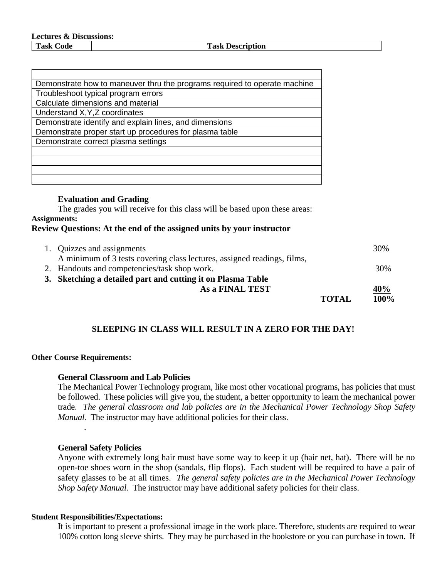**Task Code Task Description**

| Demonstrate how to maneuver thru the programs required to operate machine |
|---------------------------------------------------------------------------|
| Troubleshoot typical program errors                                       |
| Calculate dimensions and material                                         |
| Understand X, Y, Z coordinates                                            |
| Demonstrate identify and explain lines, and dimensions                    |
| Demonstrate proper start up procedures for plasma table                   |
| Demonstrate correct plasma settings                                       |
|                                                                           |
|                                                                           |
|                                                                           |
|                                                                           |

### **Evaluation and Grading**

The grades you will receive for this class will be based upon these areas: **Assignments: Review Questions: At the end of the assigned units by your instructor**

| 1. Quizzes and assignments                                              |              | 30%  |
|-------------------------------------------------------------------------|--------------|------|
| A minimum of 3 tests covering class lectures, assigned readings, films, |              |      |
| 2. Handouts and competencies/task shop work.                            |              | 30%  |
| 3. Sketching a detailed part and cutting it on Plasma Table             |              |      |
| As a FINAL TEST                                                         |              | 40%  |
|                                                                         | <b>TOTAL</b> | 100% |

# **SLEEPING IN CLASS WILL RESULT IN A ZERO FOR THE DAY!**

#### **Other Course Requirements:**

.

### **General Classroom and Lab Policies**

The Mechanical Power Technology program, like most other vocational programs, has policies that must be followed. These policies will give you, the student, a better opportunity to learn the mechanical power trade. *The general classroom and lab policies are in the Mechanical Power Technology Shop Safety Manual.* The instructor may have additional policies for their class.

#### **General Safety Policies**

Anyone with extremely long hair must have some way to keep it up (hair net, hat). There will be no open-toe shoes worn in the shop (sandals, flip flops). Each student will be required to have a pair of safety glasses to be at all times. *The general safety policies are in the Mechanical Power Technology Shop Safety Manual.* The instructor may have additional safety policies for their class.

#### **Student Responsibilities/Expectations:**

It is important to present a professional image in the work place. Therefore, students are required to wear 100% cotton long sleeve shirts. They may be purchased in the bookstore or you can purchase in town. If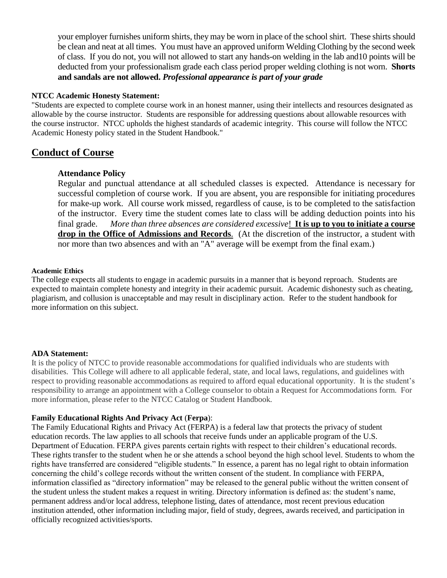your employer furnishes uniform shirts, they may be worn in place of the school shirt. These shirts should be clean and neat at all times. You must have an approved uniform Welding Clothing by the second week of class. If you do not, you will not allowed to start any hands-on welding in the lab and10 points will be deducted from your professionalism grade each class period proper welding clothing is not worn. **Shorts and sandals are not allowed.** *Professional appearance is part of your grade*

#### **NTCC Academic Honesty Statement:**

"Students are expected to complete course work in an honest manner, using their intellects and resources designated as allowable by the course instructor. Students are responsible for addressing questions about allowable resources with the course instructor. NTCC upholds the highest standards of academic integrity. This course will follow the NTCC Academic Honesty policy stated in the Student Handbook."

## **Conduct of Course**

#### **Attendance Policy**

Regular and punctual attendance at all scheduled classes is expected. Attendance is necessary for successful completion of course work. If you are absent, you are responsible for initiating procedures for make-up work. All course work missed, regardless of cause, is to be completed to the satisfaction of the instructor. Every time the student comes late to class will be adding deduction points into his final grade. *More than three absences are considered excessive*! **It is up to you to initiate a course drop in the Office of Admissions and Records**. (At the discretion of the instructor, a student with nor more than two absences and with an "A" average will be exempt from the final exam.)

#### **Academic Ethics**

The college expects all students to engage in academic pursuits in a manner that is beyond reproach. Students are expected to maintain complete honesty and integrity in their academic pursuit. Academic dishonesty such as cheating, plagiarism, and collusion is unacceptable and may result in disciplinary action. Refer to the student handbook for more information on this subject.

#### **ADA Statement:**

It is the policy of NTCC to provide reasonable accommodations for qualified individuals who are students with disabilities. This College will adhere to all applicable federal, state, and local laws, regulations, and guidelines with respect to providing reasonable accommodations as required to afford equal educational opportunity. It is the student's responsibility to arrange an appointment with a College counselor to obtain a Request for Accommodations form. For more information, please refer to the NTCC Catalog or Student Handbook.

#### **Family Educational Rights And Privacy Act** (**Ferpa**):

The Family Educational Rights and Privacy Act (FERPA) is a federal law that protects the privacy of student education records. The law applies to all schools that receive funds under an applicable program of the U.S. Department of Education. FERPA gives parents certain rights with respect to their children's educational records. These rights transfer to the student when he or she attends a school beyond the high school level. Students to whom the rights have transferred are considered "eligible students." In essence, a parent has no legal right to obtain information concerning the child's college records without the written consent of the student. In compliance with FERPA, information classified as "directory information" may be released to the general public without the written consent of the student unless the student makes a request in writing. Directory information is defined as: the student's name, permanent address and/or local address, telephone listing, dates of attendance, most recent previous education institution attended, other information including major, field of study, degrees, awards received, and participation in officially recognized activities/sports.